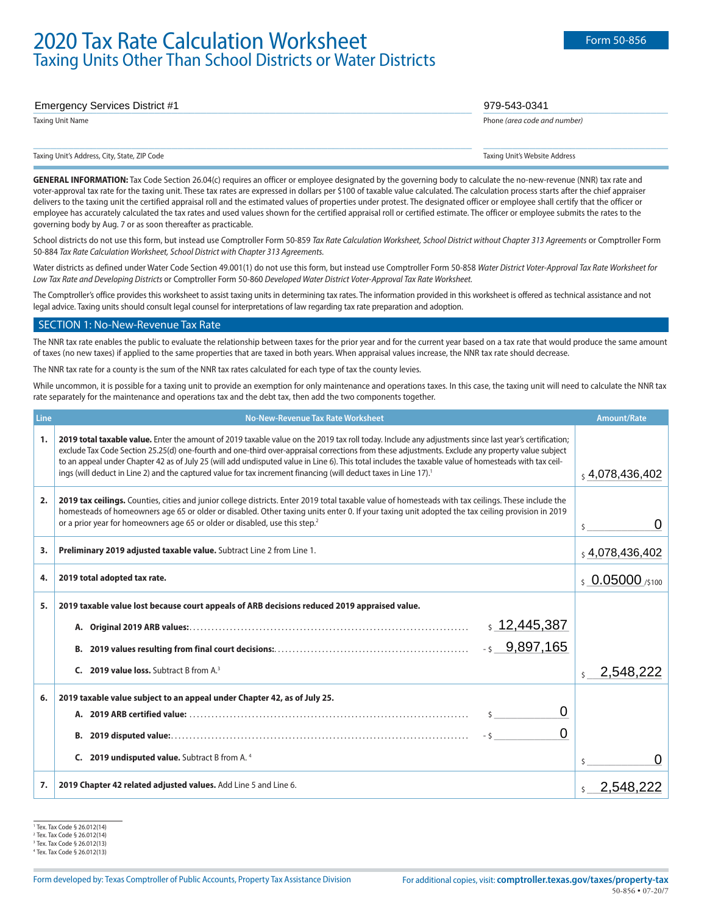# **2020 Tax Rate Calculation Worksheet** Form 50-856 Form 50-856 Taxing Units Other Than School Districts or Water Districts

# \_\_\_\_\_\_\_\_\_\_\_\_\_\_\_\_\_\_\_\_\_\_\_\_\_\_\_\_\_\_\_\_\_\_\_\_\_\_\_\_\_\_\_\_\_\_\_\_\_\_\_\_\_\_\_\_\_\_\_\_\_\_\_\_\_\_\_\_\_\_\_\_\_\_\_\_ \_\_\_\_\_\_\_\_\_\_\_\_\_\_\_\_\_\_\_\_\_\_\_\_\_\_\_\_\_\_\_\_ Emergency Services District #1 979-543-0341

Taxing Unit Name Phone *(area code and number)*

Taxing Unit's Address, City, State, ZIP Code Taxing Unit's Website Address

 $\_$  ,  $\_$  ,  $\_$  ,  $\_$  ,  $\_$  ,  $\_$  ,  $\_$  ,  $\_$  ,  $\_$  ,  $\_$  ,  $\_$  ,  $\_$  ,  $\_$  ,  $\_$  ,  $\_$  ,  $\_$  ,  $\_$  ,  $\_$  ,  $\_$  ,  $\_$  ,  $\_$  ,  $\_$  ,  $\_$  ,  $\_$  ,  $\_$  ,  $\_$  ,  $\_$  ,  $\_$  ,  $\_$  ,  $\_$  ,  $\_$  ,  $\_$  ,  $\_$  ,  $\_$  ,  $\_$  ,  $\_$  ,  $\_$  ,

GENERAL INFORMATION: Tax Code Section 26.04(c) requires an officer or employee designated by the governing body to calculate the no-new-revenue (NNR) tax rate and voter-approval tax rate for the taxing unit. These tax rates are expressed in dollars per \$100 of taxable value calculated. The calculation process starts after the chief appraiser delivers to the taxing unit the certified appraisal roll and the estimated values of properties under protest. The designated officer or employee shall certify that the officer or employee has accurately calculated the tax rates and used values shown for the certified appraisal roll or certified estimate. The officer or employee submits the rates to the governing body by Aug. 7 or as soon thereafter as practicable.

School districts do not use this form, but instead use Comptroller Form 50-859 *Tax Rate Calculation Worksheet, School District without Chapter 313 Agreements* or Comptroller Form 50-884 *Tax Rate Calculation Worksheet, School District with Chapter 313 Agreements.*

Water districts as defined under Water Code Section 49.001(1) do not use this form, but instead use Comptroller Form 50-858 *Water District Voter-Approval Tax Rate Worksheet for Low Tax Rate and Developing Districts* or Comptroller Form 50-860 *Developed Water District Voter-Approval Tax Rate Worksheet.*

The Comptroller's office provides this worksheet to assist taxing units in determining tax rates. The information provided in this worksheet is offered as technical assistance and not legal advice. Taxing units should consult legal counsel for interpretations of law regarding tax rate preparation and adoption.

#### SECTION 1: No-New-Revenue Tax Rate

The NNR tax rate enables the public to evaluate the relationship between taxes for the prior year and for the current year based on a tax rate that would produce the same amount of taxes (no new taxes) if applied to the same properties that are taxed in both years. When appraisal values increase, the NNR tax rate should decrease.

The NNR tax rate for a county is the sum of the NNR tax rates calculated for each type of tax the county levies.

While uncommon, it is possible for a taxing unit to provide an exemption for only maintenance and operations taxes. In this case, the taxing unit will need to calculate the NNR tax rate separately for the maintenance and operations tax and the debt tax, then add the two components together.

| Line | No-New-Revenue Tax Rate Worksheet                                                                                                                                                                                                                                                                                                                                                                                                                                                                                                                                                                  | <b>Amount/Rate</b>   |
|------|----------------------------------------------------------------------------------------------------------------------------------------------------------------------------------------------------------------------------------------------------------------------------------------------------------------------------------------------------------------------------------------------------------------------------------------------------------------------------------------------------------------------------------------------------------------------------------------------------|----------------------|
| 1.   | 2019 total taxable value. Enter the amount of 2019 taxable value on the 2019 tax roll today. Include any adjustments since last year's certification;<br>exclude Tax Code Section 25.25(d) one-fourth and one-third over-appraisal corrections from these adjustments. Exclude any property value subject<br>to an appeal under Chapter 42 as of July 25 (will add undisputed value in Line 6). This total includes the taxable value of homesteads with tax ceil-<br>ings (will deduct in Line 2) and the captured value for tax increment financing (will deduct taxes in Line 17). <sup>1</sup> |                      |
| 2.   | 2019 tax ceilings. Counties, cities and junior college districts. Enter 2019 total taxable value of homesteads with tax ceilings. These include the<br>homesteads of homeowners age 65 or older or disabled. Other taxing units enter 0. If your taxing unit adopted the tax ceiling provision in 2019<br>or a prior year for homeowners age 65 or older or disabled, use this step. <sup>2</sup>                                                                                                                                                                                                  |                      |
| 3.   | Preliminary 2019 adjusted taxable value. Subtract Line 2 from Line 1.                                                                                                                                                                                                                                                                                                                                                                                                                                                                                                                              | \$4,078,436,402      |
| 4.   | 2019 total adopted tax rate.                                                                                                                                                                                                                                                                                                                                                                                                                                                                                                                                                                       | $$0.05000$ /\$100    |
| 5.   | 2019 taxable value lost because court appeals of ARB decisions reduced 2019 appraised value.                                                                                                                                                                                                                                                                                                                                                                                                                                                                                                       |                      |
|      | \$12,445,387                                                                                                                                                                                                                                                                                                                                                                                                                                                                                                                                                                                       |                      |
|      | $-5$ 9,897,165<br>В.                                                                                                                                                                                                                                                                                                                                                                                                                                                                                                                                                                               |                      |
|      | 2019 value loss. Subtract B from A.3<br>C.                                                                                                                                                                                                                                                                                                                                                                                                                                                                                                                                                         | 2,548,222<br>$\zeta$ |
| 6.   | 2019 taxable value subject to an appeal under Chapter 42, as of July 25.                                                                                                                                                                                                                                                                                                                                                                                                                                                                                                                           |                      |
|      | 0                                                                                                                                                                                                                                                                                                                                                                                                                                                                                                                                                                                                  |                      |
|      | 0                                                                                                                                                                                                                                                                                                                                                                                                                                                                                                                                                                                                  |                      |
|      | <b>C.</b> 2019 undisputed value. Subtract B from A. <sup>4</sup>                                                                                                                                                                                                                                                                                                                                                                                                                                                                                                                                   |                      |
| 7.   | 2019 Chapter 42 related adjusted values. Add Line 5 and Line 6.                                                                                                                                                                                                                                                                                                                                                                                                                                                                                                                                    | 2,548,222            |

<sup>1</sup> Tex. Tax Code § 26.012(14)

<sup>2</sup> Tex. Tax Code § 26.012(14)

<sup>3</sup> Tex. Tax Code § 26.012(13)

<sup>4</sup> Tex. Tax Code § 26.012(13)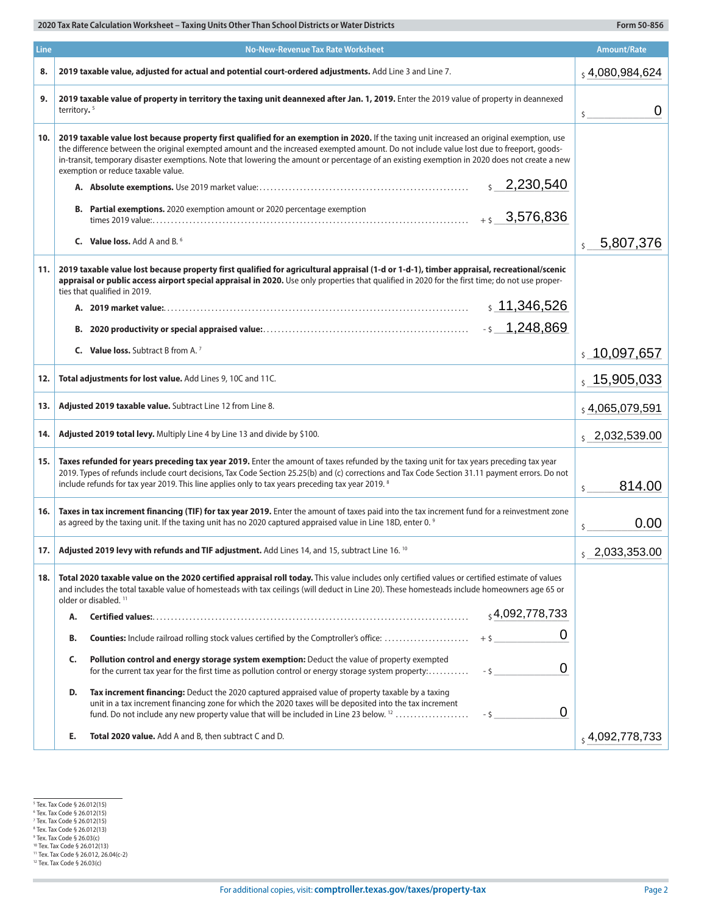| Line | <b>No-New-Revenue Tax Rate Worksheet</b>                                                                                                                                                                                                                                                                                                                                                                                                                                                   | <b>Amount/Rate</b>              |
|------|--------------------------------------------------------------------------------------------------------------------------------------------------------------------------------------------------------------------------------------------------------------------------------------------------------------------------------------------------------------------------------------------------------------------------------------------------------------------------------------------|---------------------------------|
| 8.   | 2019 taxable value, adjusted for actual and potential court-ordered adjustments. Add Line 3 and Line 7.                                                                                                                                                                                                                                                                                                                                                                                    | $_5$ 4,080,984,624              |
| 9.   | 2019 taxable value of property in territory the taxing unit deannexed after Jan. 1, 2019. Enter the 2019 value of property in deannexed<br>territory. <sup>5</sup>                                                                                                                                                                                                                                                                                                                         | 0<br>$\mathsf{S}$               |
| 10.  | 2019 taxable value lost because property first qualified for an exemption in 2020. If the taxing unit increased an original exemption, use<br>the difference between the original exempted amount and the increased exempted amount. Do not include value lost due to freeport, goods-<br>in-transit, temporary disaster exemptions. Note that lowering the amount or percentage of an existing exemption in 2020 does not create a new<br>exemption or reduce taxable value.<br>2,230,540 |                                 |
|      | Partial exemptions. 2020 exemption amount or 2020 percentage exemption<br>В.<br>$+5$ 3,576,836                                                                                                                                                                                                                                                                                                                                                                                             |                                 |
|      | <b>C.</b> Value loss, Add A and B. <sup>6</sup>                                                                                                                                                                                                                                                                                                                                                                                                                                            | 5,807,376<br>$\mathsf{\hat{S}}$ |
| 11.  | 2019 taxable value lost because property first qualified for agricultural appraisal (1-d or 1-d-1), timber appraisal, recreational/scenic<br>appraisal or public access airport special appraisal in 2020. Use only properties that qualified in 2020 for the first time; do not use proper-<br>ties that qualified in 2019.<br>\$11,346,526                                                                                                                                               |                                 |
|      | <b>C.</b> Value loss, Subtract B from A. <sup>7</sup>                                                                                                                                                                                                                                                                                                                                                                                                                                      | \$10,097,657                    |
| 12.  | Total adjustments for lost value. Add Lines 9, 10C and 11C.                                                                                                                                                                                                                                                                                                                                                                                                                                | 5, 15, 905, 033                 |
| 13.  | Adjusted 2019 taxable value. Subtract Line 12 from Line 8.                                                                                                                                                                                                                                                                                                                                                                                                                                 | $_5$ 4,065,079,591              |
| 14.  | Adjusted 2019 total levy. Multiply Line 4 by Line 13 and divide by \$100.                                                                                                                                                                                                                                                                                                                                                                                                                  | $\frac{1}{5}$ 2,032,539.00      |
| 15.  | Taxes refunded for years preceding tax year 2019. Enter the amount of taxes refunded by the taxing unit for tax years preceding tax year<br>2019. Types of refunds include court decisions, Tax Code Section 25.25(b) and (c) corrections and Tax Code Section 31.11 payment errors. Do not<br>include refunds for tax year 2019. This line applies only to tax years preceding tax year 2019. 8                                                                                           | 814.00<br>\$                    |
| 16.  | Taxes in tax increment financing (TIF) for tax year 2019. Enter the amount of taxes paid into the tax increment fund for a reinvestment zone<br>as agreed by the taxing unit. If the taxing unit has no 2020 captured appraised value in Line 18D, enter 0. 9                                                                                                                                                                                                                              | 0.00<br>\$                      |
| 17.  | Adjusted 2019 levy with refunds and TIF adjustment. Add Lines 14, and 15, subtract Line 16. 10                                                                                                                                                                                                                                                                                                                                                                                             | $\frac{1}{5}$ 2,033,353.00      |
| 18.  | Total 2020 taxable value on the 2020 certified appraisal roll today. This value includes only certified values or certified estimate of values<br>and includes the total taxable value of homesteads with tax ceilings (will deduct in Line 20). These homesteads include homeowners age 65 or<br>older or disabled. <sup>11</sup>                                                                                                                                                         |                                 |
|      | $_5$ 4,092,778,733<br>Α.                                                                                                                                                                                                                                                                                                                                                                                                                                                                   |                                 |
|      | 0<br>B.                                                                                                                                                                                                                                                                                                                                                                                                                                                                                    |                                 |
|      | Pollution control and energy storage system exemption: Deduct the value of property exempted<br>C.<br>0<br>for the current tax year for the first time as pollution control or energy storage system property:<br>$-5$                                                                                                                                                                                                                                                                     |                                 |
|      | D.<br>Tax increment financing: Deduct the 2020 captured appraised value of property taxable by a taxing<br>unit in a tax increment financing zone for which the 2020 taxes will be deposited into the tax increment<br>0<br>fund. Do not include any new property value that will be included in Line 23 below. <sup>12</sup><br>$-5$                                                                                                                                                      |                                 |
|      | Total 2020 value. Add A and B, then subtract C and D.<br>Е.                                                                                                                                                                                                                                                                                                                                                                                                                                | , 4,092,778,733                 |

×

<sup>&</sup>lt;sup>5</sup> Tex. Tax Code § 26.012(15)<br><sup>6</sup> Tex. Tax Code § 26.012(15)<br><sup>8</sup> Tex. Tax Code § 26.012(15)<br><sup>8</sup> Tex. Tax Code § 26.012(13)<br><sup>9</sup> Tex. Tax Code § 26.012(13)<br><sup>10</sup> Tex. Tax Code § 26.012, 26.04(c-2)<br><sup>11</sup> Tex. Tax Code § 26.012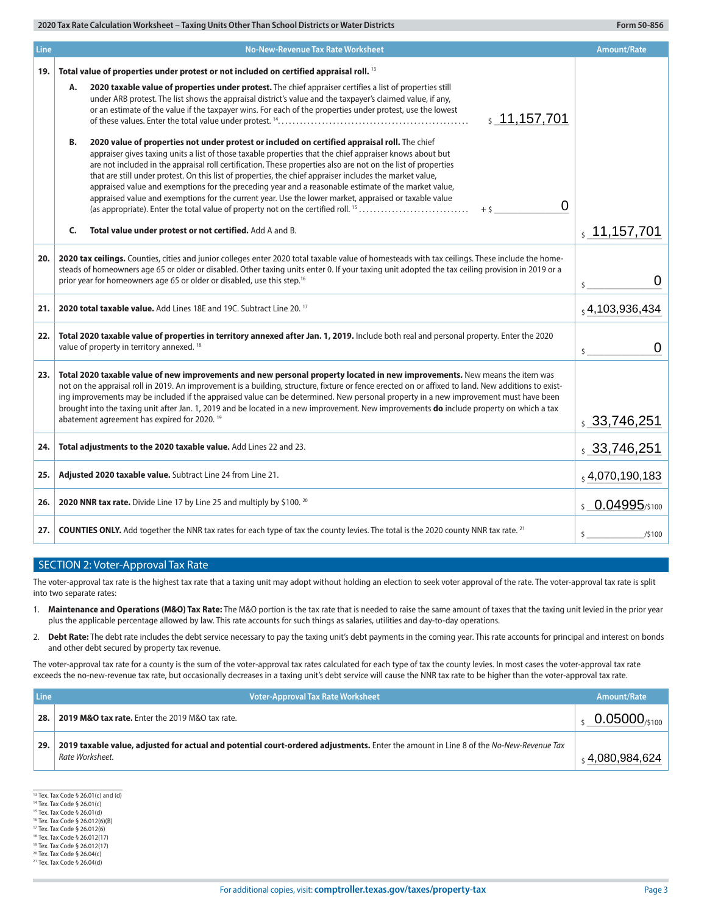| Line  | <b>No-New-Revenue Tax Rate Worksheet</b>                                                                                                                                                                                                                                                                                                                                                                                                                                                                                                                                                                                                                      | <b>Amount/Rate</b>       |
|-------|---------------------------------------------------------------------------------------------------------------------------------------------------------------------------------------------------------------------------------------------------------------------------------------------------------------------------------------------------------------------------------------------------------------------------------------------------------------------------------------------------------------------------------------------------------------------------------------------------------------------------------------------------------------|--------------------------|
| 19.   | Total value of properties under protest or not included on certified appraisal roll. <sup>13</sup>                                                                                                                                                                                                                                                                                                                                                                                                                                                                                                                                                            |                          |
|       | 2020 taxable value of properties under protest. The chief appraiser certifies a list of properties still<br>А.<br>under ARB protest. The list shows the appraisal district's value and the taxpayer's claimed value, if any,<br>or an estimate of the value if the taxpayer wins. For each of the properties under protest, use the lowest<br>\$11,157,701                                                                                                                                                                                                                                                                                                    |                          |
|       | 2020 value of properties not under protest or included on certified appraisal roll. The chief<br>В.<br>appraiser gives taxing units a list of those taxable properties that the chief appraiser knows about but<br>are not included in the appraisal roll certification. These properties also are not on the list of properties<br>that are still under protest. On this list of properties, the chief appraiser includes the market value,<br>appraised value and exemptions for the preceding year and a reasonable estimate of the market value,<br>appraised value and exemptions for the current year. Use the lower market, appraised or taxable value |                          |
|       | 0<br>(as appropriate). Enter the total value of property not on the certified roll. <sup>15</sup><br>$+5$                                                                                                                                                                                                                                                                                                                                                                                                                                                                                                                                                     |                          |
|       | C.<br>Total value under protest or not certified. Add A and B.                                                                                                                                                                                                                                                                                                                                                                                                                                                                                                                                                                                                | , 11, 157, 701           |
| 20. I | 2020 tax ceilings. Counties, cities and junior colleges enter 2020 total taxable value of homesteads with tax ceilings. These include the home-<br>steads of homeowners age 65 or older or disabled. Other taxing units enter 0. If your taxing unit adopted the tax ceiling provision in 2019 or a<br>prior year for homeowners age 65 or older or disabled, use this step. <sup>16</sup>                                                                                                                                                                                                                                                                    |                          |
| 21.   | 2020 total taxable value. Add Lines 18E and 19C. Subtract Line 20, <sup>17</sup>                                                                                                                                                                                                                                                                                                                                                                                                                                                                                                                                                                              | 54,103,936,434           |
| 22.   | Total 2020 taxable value of properties in territory annexed after Jan. 1, 2019. Include both real and personal property. Enter the 2020<br>value of property in territory annexed. <sup>18</sup>                                                                                                                                                                                                                                                                                                                                                                                                                                                              | 0<br>$\mathsf{\hat{S}}$  |
| 23.   | Total 2020 taxable value of new improvements and new personal property located in new improvements. New means the item was<br>not on the appraisal roll in 2019. An improvement is a building, structure, fixture or fence erected on or affixed to land. New additions to exist-<br>ing improvements may be included if the appraised value can be determined. New personal property in a new improvement must have been<br>brought into the taxing unit after Jan. 1, 2019 and be located in a new improvement. New improvements do include property on which a tax<br>abatement agreement has expired for 2020. <sup>19</sup>                              | \$33,746,251             |
| 24.   | Total adjustments to the 2020 taxable value. Add Lines 22 and 23.                                                                                                                                                                                                                                                                                                                                                                                                                                                                                                                                                                                             | $\frac{1}{5}$ 33,746,251 |
| 25.   | Adjusted 2020 taxable value. Subtract Line 24 from Line 21.                                                                                                                                                                                                                                                                                                                                                                                                                                                                                                                                                                                                   | $_5$ 4,070,190,183       |
| 26.   | 2020 NNR tax rate. Divide Line 17 by Line 25 and multiply by \$100. 20                                                                                                                                                                                                                                                                                                                                                                                                                                                                                                                                                                                        | \$ 0.04995/\$100         |
| 27.   | <b>COUNTIES ONLY.</b> Add together the NNR tax rates for each type of tax the county levies. The total is the 2020 county NNR tax rate. <sup>21</sup>                                                                                                                                                                                                                                                                                                                                                                                                                                                                                                         | \$<br>/5100              |

#### SECTION 2: Voter-Approval Tax Rate

The voter-approval tax rate is the highest tax rate that a taxing unit may adopt without holding an election to seek voter approval of the rate. The voter-approval tax rate is split into two separate rates:

- 1. **Maintenance and Operations (M&O) Tax Rate:** The M&O portion is the tax rate that is needed to raise the same amount of taxes that the taxing unit levied in the prior year plus the applicable percentage allowed by law. This rate accounts for such things as salaries, utilities and day-to-day operations.
- 2. **Debt Rate:** The debt rate includes the debt service necessary to pay the taxing unit's debt payments in the coming year. This rate accounts for principal and interest on bonds and other debt secured by property tax revenue.

The voter-approval tax rate for a county is the sum of the voter-approval tax rates calculated for each type of tax the county levies. In most cases the voter-approval tax rate exceeds the no-new-revenue tax rate, but occasionally decreases in a taxing unit's debt service will cause the NNR tax rate to be higher than the voter-approval tax rate.

| <b>Line</b> | <b>Voter-Approval Tax Rate Worksheet</b>                                                                                                                 | Amount/Rate              |
|-------------|----------------------------------------------------------------------------------------------------------------------------------------------------------|--------------------------|
| 28.         | <b>2019 M&amp;O tax rate.</b> Enter the 2019 M&O tax rate.                                                                                               | $0.05000_{\text{/s100}}$ |
| 29.         | 2019 taxable value, adjusted for actual and potential court-ordered adjustments. Enter the amount in Line 8 of the No-New-Revenue Tax<br>Rate Worksheet. | ,4,080,984,624           |

13 Tex. Tax Code § 26.01(c) and (d)

<sup>14</sup> Tex. Tax Code § 26.01(c)

<sup>15</sup> Tex. Tax Code § 26.01(d) 16 Tex. Tax Code § 26.012(6)(B)

<sup>17</sup> Tex. Tax Code § 26.012(6)

<sup>18</sup> Tex. Tax Code § 26.012(17)

<sup>19</sup> Tex. Tax Code § 26.012(17)

<sup>20</sup> Tex. Tax Code § 26.04(c)

<sup>21</sup> Tex. Tax Code § 26.04(d)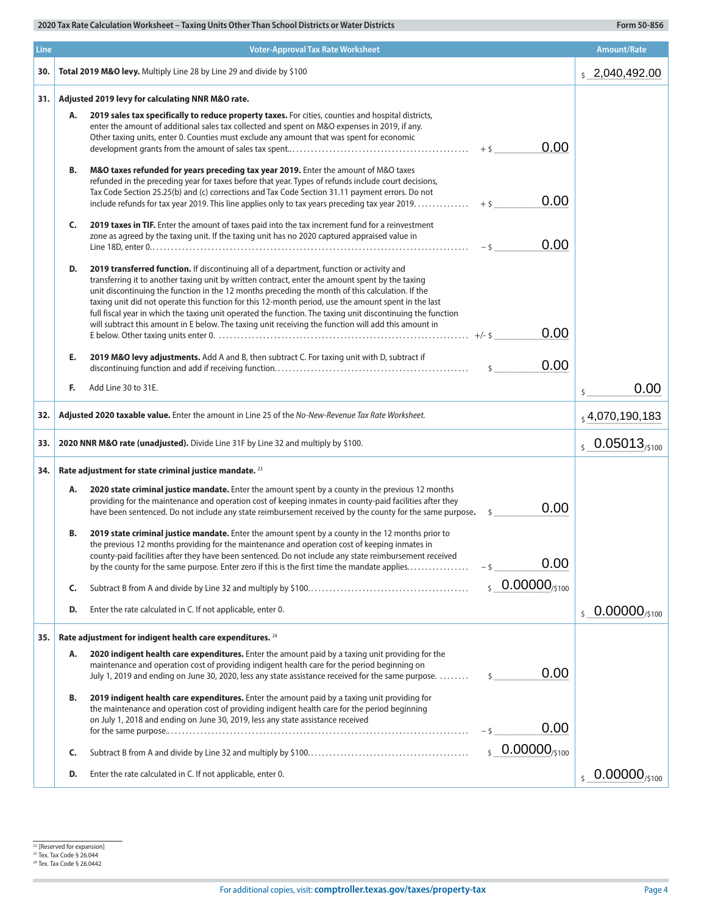| Line |    | <b>Voter-Approval Tax Rate Worksheet</b>                                                                                                                                                                                                                                                                                                                                                                                                                                                                                                                                                                                         | <b>Amount/Rate</b>                     |
|------|----|----------------------------------------------------------------------------------------------------------------------------------------------------------------------------------------------------------------------------------------------------------------------------------------------------------------------------------------------------------------------------------------------------------------------------------------------------------------------------------------------------------------------------------------------------------------------------------------------------------------------------------|----------------------------------------|
| 30.  |    | Total 2019 M&O levy. Multiply Line 28 by Line 29 and divide by \$100                                                                                                                                                                                                                                                                                                                                                                                                                                                                                                                                                             | $\frac{1}{2}$ , 2,040,492.00           |
| 31.  |    | Adjusted 2019 levy for calculating NNR M&O rate.                                                                                                                                                                                                                                                                                                                                                                                                                                                                                                                                                                                 |                                        |
|      | А. | 2019 sales tax specifically to reduce property taxes. For cities, counties and hospital districts,<br>enter the amount of additional sales tax collected and spent on M&O expenses in 2019, if any.<br>Other taxing units, enter 0. Counties must exclude any amount that was spent for economic<br>0.00<br>$+$ \$                                                                                                                                                                                                                                                                                                               |                                        |
|      | В. | M&O taxes refunded for years preceding tax year 2019. Enter the amount of M&O taxes<br>refunded in the preceding year for taxes before that year. Types of refunds include court decisions,<br>Tax Code Section 25.25(b) and (c) corrections and Tax Code Section 31.11 payment errors. Do not<br>0.00<br>include refunds for tax year 2019. This line applies only to tax years preceding tax year 2019.<br>$+5$                                                                                                                                                                                                                |                                        |
|      | C. | 2019 taxes in TIF. Enter the amount of taxes paid into the tax increment fund for a reinvestment<br>zone as agreed by the taxing unit. If the taxing unit has no 2020 captured appraised value in<br>0.00                                                                                                                                                                                                                                                                                                                                                                                                                        |                                        |
|      | D. | 2019 transferred function. If discontinuing all of a department, function or activity and<br>transferring it to another taxing unit by written contract, enter the amount spent by the taxing<br>unit discontinuing the function in the 12 months preceding the month of this calculation. If the<br>taxing unit did not operate this function for this 12-month period, use the amount spent in the last<br>full fiscal year in which the taxing unit operated the function. The taxing unit discontinuing the function<br>will subtract this amount in E below. The taxing unit receiving the function will add this amount in |                                        |
|      |    | 0.00                                                                                                                                                                                                                                                                                                                                                                                                                                                                                                                                                                                                                             |                                        |
|      | Е. | 2019 M&O levy adjustments. Add A and B, then subtract C. For taxing unit with D, subtract if<br>0.00                                                                                                                                                                                                                                                                                                                                                                                                                                                                                                                             |                                        |
|      | F. | Add Line 30 to 31E.                                                                                                                                                                                                                                                                                                                                                                                                                                                                                                                                                                                                              | 0.00<br>\$                             |
| 32.  |    | Adjusted 2020 taxable value. Enter the amount in Line 25 of the No-New-Revenue Tax Rate Worksheet.                                                                                                                                                                                                                                                                                                                                                                                                                                                                                                                               | $_5$ 4,070,190,183                     |
| 33.  |    | 2020 NNR M&O rate (unadjusted). Divide Line 31F by Line 32 and multiply by \$100.                                                                                                                                                                                                                                                                                                                                                                                                                                                                                                                                                | $\frac{1}{5}$ 0.05013 <sub>/5100</sub> |
| 34.  |    | Rate adjustment for state criminal justice mandate. 23                                                                                                                                                                                                                                                                                                                                                                                                                                                                                                                                                                           |                                        |
|      | Α. | 2020 state criminal justice mandate. Enter the amount spent by a county in the previous 12 months<br>providing for the maintenance and operation cost of keeping inmates in county-paid facilities after they<br>0.00<br>have been sentenced. Do not include any state reimbursement received by the county for the same purpose.<br>\$                                                                                                                                                                                                                                                                                          |                                        |
|      | В. | 2019 state criminal justice mandate. Enter the amount spent by a county in the 12 months prior to<br>the previous 12 months providing for the maintenance and operation cost of keeping inmates in<br>county-paid facilities after they have been sentenced. Do not include any state reimbursement received<br>0.00<br>by the county for the same purpose. Enter zero if this is the first time the mandate applies<br>- \$                                                                                                                                                                                                     |                                        |
|      | C. | $50.00000_{/5100}$                                                                                                                                                                                                                                                                                                                                                                                                                                                                                                                                                                                                               |                                        |
|      | D. | Enter the rate calculated in C. If not applicable, enter 0.                                                                                                                                                                                                                                                                                                                                                                                                                                                                                                                                                                      | $50.00000_{/5100}$                     |
| 35.  |    | Rate adjustment for indigent health care expenditures. <sup>24</sup>                                                                                                                                                                                                                                                                                                                                                                                                                                                                                                                                                             |                                        |
|      | Α. | 2020 indigent health care expenditures. Enter the amount paid by a taxing unit providing for the<br>maintenance and operation cost of providing indigent health care for the period beginning on<br>0.00<br>July 1, 2019 and ending on June 30, 2020, less any state assistance received for the same purpose.<br>$\zeta$                                                                                                                                                                                                                                                                                                        |                                        |
|      | В. | 2019 indigent health care expenditures. Enter the amount paid by a taxing unit providing for<br>the maintenance and operation cost of providing indigent health care for the period beginning<br>on July 1, 2018 and ending on June 30, 2019, less any state assistance received<br>0.00<br>- \$                                                                                                                                                                                                                                                                                                                                 |                                        |
|      | C. | $50.00000_{/5100}$                                                                                                                                                                                                                                                                                                                                                                                                                                                                                                                                                                                                               |                                        |
|      | D. | Enter the rate calculated in C. If not applicable, enter 0.                                                                                                                                                                                                                                                                                                                                                                                                                                                                                                                                                                      | $\frac{1}{2}$ 0.00000/s100             |

<sup>22</sup> [Reserved for expansion]<br><sup>23</sup> Tex. Tax Code § 26.044<br><sup>24</sup> Tex. Tax Code § 26.0442

×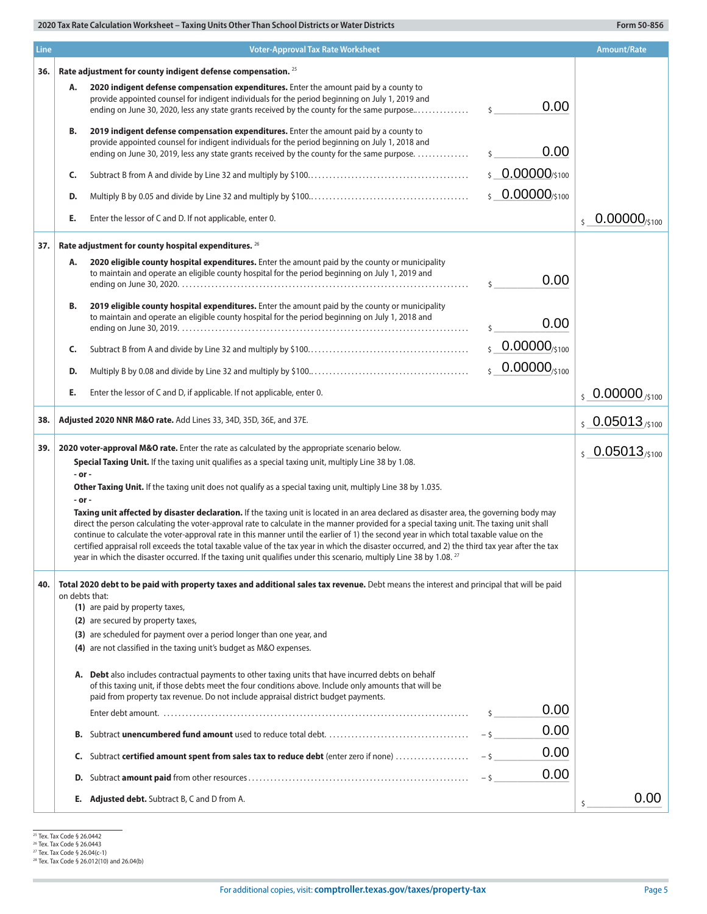| <b>Line</b> |                                                              | <b>Voter-Approval Tax Rate Worksheet</b>                                                                                                                                                                                                                                                                                                                                                                                                                                                                                                                                                                                                                                                                                                                                                                                                                                                                                                                                                                                                          |                               | <b>Amount/Rate</b>                  |
|-------------|--------------------------------------------------------------|---------------------------------------------------------------------------------------------------------------------------------------------------------------------------------------------------------------------------------------------------------------------------------------------------------------------------------------------------------------------------------------------------------------------------------------------------------------------------------------------------------------------------------------------------------------------------------------------------------------------------------------------------------------------------------------------------------------------------------------------------------------------------------------------------------------------------------------------------------------------------------------------------------------------------------------------------------------------------------------------------------------------------------------------------|-------------------------------|-------------------------------------|
| 36.         | Rate adjustment for county indigent defense compensation. 25 |                                                                                                                                                                                                                                                                                                                                                                                                                                                                                                                                                                                                                                                                                                                                                                                                                                                                                                                                                                                                                                                   |                               |                                     |
|             | Α.                                                           | 2020 indigent defense compensation expenditures. Enter the amount paid by a county to<br>provide appointed counsel for indigent individuals for the period beginning on July 1, 2019 and<br>ending on June 30, 2020, less any state grants received by the county for the same purpose                                                                                                                                                                                                                                                                                                                                                                                                                                                                                                                                                                                                                                                                                                                                                            | 0.00<br>$\mathsf{\hat{S}}$    |                                     |
|             | B.                                                           | 2019 indigent defense compensation expenditures. Enter the amount paid by a county to<br>provide appointed counsel for indigent individuals for the period beginning on July 1, 2018 and<br>ending on June 30, 2019, less any state grants received by the county for the same purpose.                                                                                                                                                                                                                                                                                                                                                                                                                                                                                                                                                                                                                                                                                                                                                           | 0.00                          |                                     |
|             | C.                                                           |                                                                                                                                                                                                                                                                                                                                                                                                                                                                                                                                                                                                                                                                                                                                                                                                                                                                                                                                                                                                                                                   | \$ 0.00000/\$100              |                                     |
|             | D.                                                           |                                                                                                                                                                                                                                                                                                                                                                                                                                                                                                                                                                                                                                                                                                                                                                                                                                                                                                                                                                                                                                                   | $$0.00000$ /\$100             |                                     |
|             | E.                                                           | Enter the lessor of C and D. If not applicable, enter 0.                                                                                                                                                                                                                                                                                                                                                                                                                                                                                                                                                                                                                                                                                                                                                                                                                                                                                                                                                                                          |                               | $0.00000_{\pm 100}$<br>$\mathsf{S}$ |
| 37.         |                                                              | Rate adjustment for county hospital expenditures. 26                                                                                                                                                                                                                                                                                                                                                                                                                                                                                                                                                                                                                                                                                                                                                                                                                                                                                                                                                                                              |                               |                                     |
|             | Α.                                                           | 2020 eligible county hospital expenditures. Enter the amount paid by the county or municipality<br>to maintain and operate an eligible county hospital for the period beginning on July 1, 2019 and                                                                                                                                                                                                                                                                                                                                                                                                                                                                                                                                                                                                                                                                                                                                                                                                                                               | 0.00                          |                                     |
|             | В.                                                           | 2019 eligible county hospital expenditures. Enter the amount paid by the county or municipality<br>to maintain and operate an eligible county hospital for the period beginning on July 1, 2018 and                                                                                                                                                                                                                                                                                                                                                                                                                                                                                                                                                                                                                                                                                                                                                                                                                                               | 0.00                          |                                     |
|             | C.                                                           |                                                                                                                                                                                                                                                                                                                                                                                                                                                                                                                                                                                                                                                                                                                                                                                                                                                                                                                                                                                                                                                   | $5 - 0.00000_{/5100}$         |                                     |
|             | D.                                                           |                                                                                                                                                                                                                                                                                                                                                                                                                                                                                                                                                                                                                                                                                                                                                                                                                                                                                                                                                                                                                                                   | $0.00000_{\frac{5100}{5100}}$ |                                     |
|             | E.                                                           | Enter the lessor of C and D, if applicable. If not applicable, enter 0.                                                                                                                                                                                                                                                                                                                                                                                                                                                                                                                                                                                                                                                                                                                                                                                                                                                                                                                                                                           |                               | $\frac{1}{5}$ 0.00000 /\$100        |
| 38.         |                                                              | Adjusted 2020 NNR M&O rate. Add Lines 33, 34D, 35D, 36E, and 37E.                                                                                                                                                                                                                                                                                                                                                                                                                                                                                                                                                                                                                                                                                                                                                                                                                                                                                                                                                                                 |                               | $$0.05013_{/5100}$                  |
| 39.         | - or -<br>- or -                                             | 2020 voter-approval M&O rate. Enter the rate as calculated by the appropriate scenario below.<br>Special Taxing Unit. If the taxing unit qualifies as a special taxing unit, multiply Line 38 by 1.08.<br>Other Taxing Unit. If the taxing unit does not qualify as a special taxing unit, multiply Line 38 by 1.035.<br>Taxing unit affected by disaster declaration. If the taxing unit is located in an area declared as disaster area, the governing body may<br>direct the person calculating the voter-approval rate to calculate in the manner provided for a special taxing unit. The taxing unit shall<br>continue to calculate the voter-approval rate in this manner until the earlier of 1) the second year in which total taxable value on the<br>certified appraisal roll exceeds the total taxable value of the tax year in which the disaster occurred, and 2) the third tax year after the tax<br>year in which the disaster occurred. If the taxing unit qualifies under this scenario, multiply Line 38 by 1.08. <sup>27</sup> |                               | $50.05013_{/5100}$                  |
| 40.         | on debts that:                                               | Total 2020 debt to be paid with property taxes and additional sales tax revenue. Debt means the interest and principal that will be paid<br>(1) are paid by property taxes,<br>(2) are secured by property taxes,<br>(3) are scheduled for payment over a period longer than one year, and<br>(4) are not classified in the taxing unit's budget as M&O expenses.                                                                                                                                                                                                                                                                                                                                                                                                                                                                                                                                                                                                                                                                                 |                               |                                     |
|             |                                                              | A. Debt also includes contractual payments to other taxing units that have incurred debts on behalf<br>of this taxing unit, if those debts meet the four conditions above. Include only amounts that will be<br>paid from property tax revenue. Do not include appraisal district budget payments.                                                                                                                                                                                                                                                                                                                                                                                                                                                                                                                                                                                                                                                                                                                                                | 0.00<br>\$                    |                                     |
|             | В.                                                           |                                                                                                                                                                                                                                                                                                                                                                                                                                                                                                                                                                                                                                                                                                                                                                                                                                                                                                                                                                                                                                                   | 0.00<br>$-5$                  |                                     |
|             | C.                                                           | Subtract certified amount spent from sales tax to reduce debt (enter zero if none)                                                                                                                                                                                                                                                                                                                                                                                                                                                                                                                                                                                                                                                                                                                                                                                                                                                                                                                                                                | 0.00<br>$-5$                  |                                     |
|             | D.                                                           |                                                                                                                                                                                                                                                                                                                                                                                                                                                                                                                                                                                                                                                                                                                                                                                                                                                                                                                                                                                                                                                   | 0.00<br>$-5$                  |                                     |
|             |                                                              | <b>E.</b> Adjusted debt. Subtract B, C and D from A.                                                                                                                                                                                                                                                                                                                                                                                                                                                                                                                                                                                                                                                                                                                                                                                                                                                                                                                                                                                              |                               | 0.00                                |

ř.

<sup>25</sup> Tex. Tax Code § 26.0442<br><sup>26</sup> Tex. Tax Code § 26.0443<br><sup>27</sup> Tex. Tax Code § 26.04(c-1)<br><sup>28</sup> Tex. Tax Code § 26.012(10) and 26.04(b)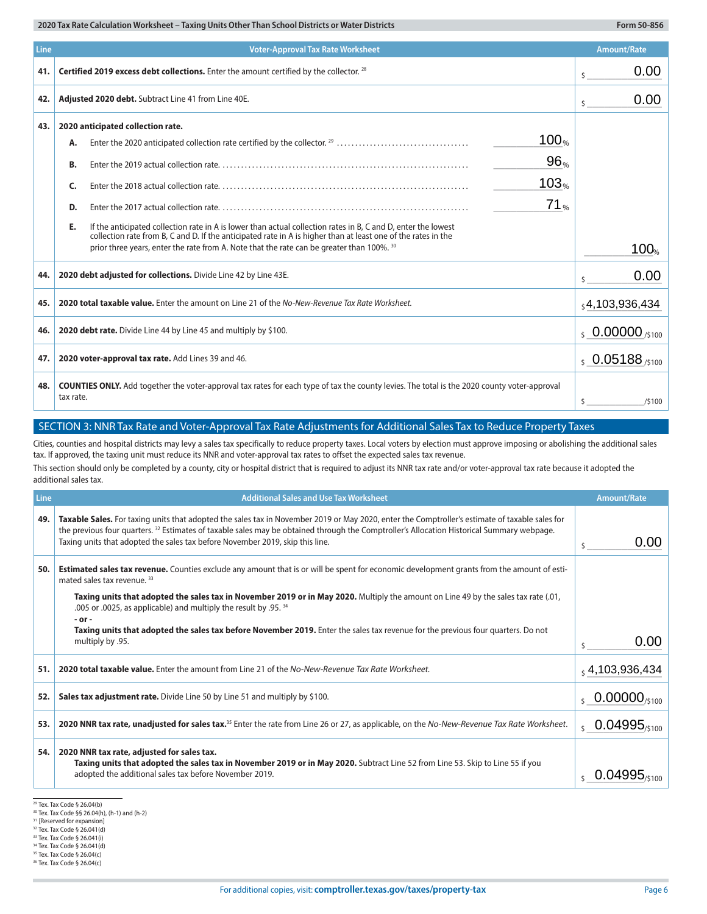| Line | <b>Voter-Approval Tax Rate Worksheet</b>                                                                                                                                                                                             |                              |  |
|------|--------------------------------------------------------------------------------------------------------------------------------------------------------------------------------------------------------------------------------------|------------------------------|--|
| 41.  | Certified 2019 excess debt collections. Enter the amount certified by the collector. 28                                                                                                                                              | 0.00<br>\$                   |  |
| 42.  | Adjusted 2020 debt. Subtract Line 41 from Line 40E.                                                                                                                                                                                  | 0.00<br>\$                   |  |
| 43.  | 2020 anticipated collection rate.                                                                                                                                                                                                    |                              |  |
|      | 100%<br>А.                                                                                                                                                                                                                           |                              |  |
|      | $96_{\%}$<br>В.                                                                                                                                                                                                                      |                              |  |
|      | 103%<br>C.                                                                                                                                                                                                                           |                              |  |
|      | 71 <sub>%</sub><br>D.                                                                                                                                                                                                                |                              |  |
|      | E.<br>If the anticipated collection rate in A is lower than actual collection rates in B, C and D, enter the lowest<br>collection rate from B, C and D. If the anticipated rate in A is higher than at least one of the rates in the |                              |  |
|      | prior three years, enter the rate from A. Note that the rate can be greater than 100%. 30                                                                                                                                            | 100%                         |  |
| 44.  | 2020 debt adjusted for collections. Divide Line 42 by Line 43E.                                                                                                                                                                      | 0.00<br>Š.                   |  |
| 45.  | 2020 total taxable value. Enter the amount on Line 21 of the No-New-Revenue Tax Rate Worksheet.                                                                                                                                      | 54,103,936,434               |  |
| 46.  | 2020 debt rate. Divide Line 44 by Line 45 and multiply by \$100.                                                                                                                                                                     | $\frac{1}{5}$ 0.00000 /\$100 |  |
| 47.  | 2020 voter-approval tax rate. Add Lines 39 and 46.                                                                                                                                                                                   | $\frac{1}{5}$ 0.05188 /\$100 |  |
| 48.  | <b>COUNTIES ONLY.</b> Add together the voter-approval tax rates for each type of tax the county levies. The total is the 2020 county voter-approval<br>tax rate.                                                                     | Ŝ.<br>/5100                  |  |

### SECTION 3: NNR Tax Rate and Voter-Approval Tax Rate Adjustments for Additional Sales Tax to Reduce Property Taxes

| 47.                                                                                                                                                                                                                                                                                                                                                                                                                                                                                                                              | 2020 voter-approval tax rate. Add Lines 39 and 46.                                                                                                                                                                                                                                                                                                                                       | $50.05188_{/5100}$      |
|----------------------------------------------------------------------------------------------------------------------------------------------------------------------------------------------------------------------------------------------------------------------------------------------------------------------------------------------------------------------------------------------------------------------------------------------------------------------------------------------------------------------------------|------------------------------------------------------------------------------------------------------------------------------------------------------------------------------------------------------------------------------------------------------------------------------------------------------------------------------------------------------------------------------------------|-------------------------|
| 48.                                                                                                                                                                                                                                                                                                                                                                                                                                                                                                                              | <b>COUNTIES ONLY.</b> Add together the voter-approval tax rates for each type of tax the county levies. The total is the 2020 county voter-approval<br>tax rate.                                                                                                                                                                                                                         | \$<br>/\$100            |
|                                                                                                                                                                                                                                                                                                                                                                                                                                                                                                                                  | SECTION 3: NNR Tax Rate and Voter-Approval Tax Rate Adjustments for Additional Sales Tax to Reduce Property Taxes                                                                                                                                                                                                                                                                        |                         |
| Cities, counties and hospital districts may levy a sales tax specifically to reduce property taxes. Local voters by election must approve imposing or abolishing the additional sales<br>tax. If approved, the taxing unit must reduce its NNR and voter-approval tax rates to offset the expected sales tax revenue.<br>This section should only be completed by a county, city or hospital district that is required to adjust its NNR tax rate and/or voter-approval tax rate because it adopted the<br>additional sales tax. |                                                                                                                                                                                                                                                                                                                                                                                          |                         |
| Line                                                                                                                                                                                                                                                                                                                                                                                                                                                                                                                             | <b>Additional Sales and Use Tax Worksheet</b>                                                                                                                                                                                                                                                                                                                                            | <b>Amount/Rate</b>      |
| 49.                                                                                                                                                                                                                                                                                                                                                                                                                                                                                                                              | Taxable Sales. For taxing units that adopted the sales tax in November 2019 or May 2020, enter the Comptroller's estimate of taxable sales for<br>the previous four quarters. <sup>32</sup> Estimates of taxable sales may be obtained through the Comptroller's Allocation Historical Summary webpage.<br>Taxing units that adopted the sales tax before November 2019, skip this line. | 0.00<br>Ŝ.              |
| 50.                                                                                                                                                                                                                                                                                                                                                                                                                                                                                                                              | <b>Estimated sales tax revenue.</b> Counties exclude any amount that is or will be spent for economic development grants from the amount of esti-<br>mated sales tax revenue. 33                                                                                                                                                                                                         |                         |
|                                                                                                                                                                                                                                                                                                                                                                                                                                                                                                                                  | Taxing units that adopted the sales tax in November 2019 or in May 2020. Multiply the amount on Line 49 by the sales tax rate (.01,<br>.005 or .0025, as applicable) and multiply the result by .95. 34                                                                                                                                                                                  |                         |
|                                                                                                                                                                                                                                                                                                                                                                                                                                                                                                                                  | - or -<br>Taxing units that adopted the sales tax before November 2019. Enter the sales tax revenue for the previous four quarters. Do not<br>multiply by .95.                                                                                                                                                                                                                           | 0.00<br>Ŝ.              |
| 51.                                                                                                                                                                                                                                                                                                                                                                                                                                                                                                                              | 2020 total taxable value. Enter the amount from Line 21 of the No-New-Revenue Tax Rate Worksheet.                                                                                                                                                                                                                                                                                        | , 4, 103, 936, 434      |
| 52.                                                                                                                                                                                                                                                                                                                                                                                                                                                                                                                              | Sales tax adjustment rate. Divide Line 50 by Line 51 and multiply by \$100.                                                                                                                                                                                                                                                                                                              | $0.00000_{/5100}$       |
| 53.                                                                                                                                                                                                                                                                                                                                                                                                                                                                                                                              | 2020 NNR tax rate, unadjusted for sales tax. <sup>35</sup> Enter the rate from Line 26 or 27, as applicable, on the No-New-Revenue Tax Rate Worksheet.                                                                                                                                                                                                                                   | $0.04995_{\tiny /5100}$ |
| 54.                                                                                                                                                                                                                                                                                                                                                                                                                                                                                                                              | 2020 NNR tax rate, adjusted for sales tax.<br>Taxing units that adopted the sales tax in November 2019 or in May 2020. Subtract Line 52 from Line 53. Skip to Line 55 if you<br>adopted the additional sales tax before November 2019.                                                                                                                                                   | $0.04995_{5100}$        |

29 Tex. Tax Code § 26.04(b)

<sup>30</sup> Tex. Tax Code §§ 26.04(h), (h-1) and (h-2)

<sup>&</sup>lt;sup>31</sup> [Reserved for expansion]<br><sup>32</sup> Tex. Tax Code § 26.041(d)

<sup>33</sup> Tex. Tax Code § 26.041(i)

<sup>34</sup> Tex. Tax Code § 26.041(d)

<sup>35</sup> Tex. Tax Code § 26.04(c)

<sup>36</sup> Tex. Tax Code § 26.04(c)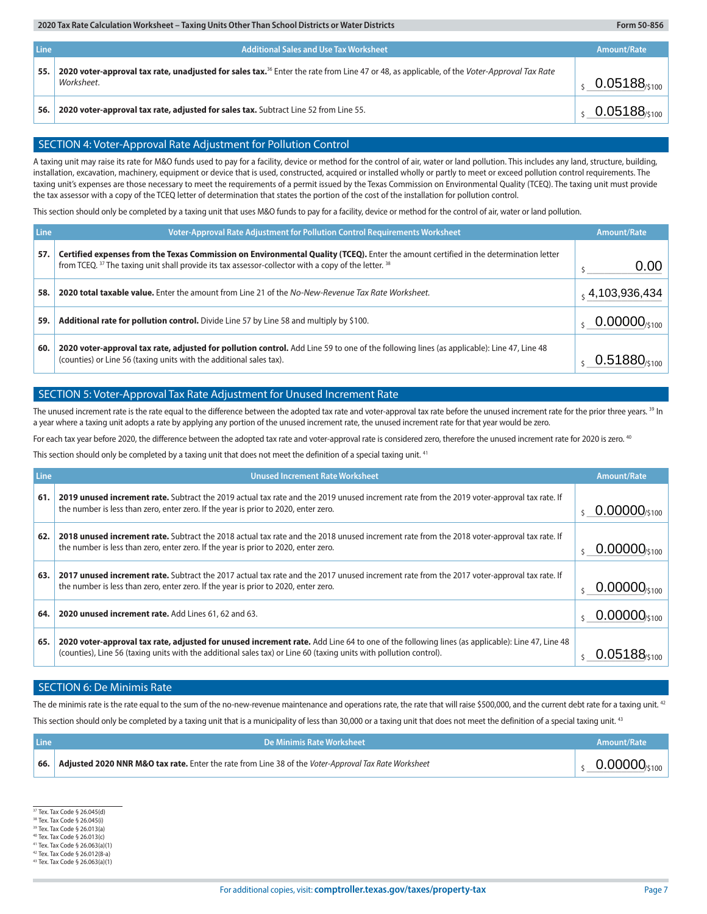| Line | Additional Sales and Use Tax Worksheet                                                                                                                               | Amount/Rate                 |
|------|----------------------------------------------------------------------------------------------------------------------------------------------------------------------|-----------------------------|
| 55.  | 2020 voter-approval tax rate, unadjusted for sales tax. <sup>36</sup> Enter the rate from Line 47 or 48, as applicable, of the Voter-Approval Tax Rate<br>Worksheet. | $0.05188_{5100}$            |
| 56.  | 2020 voter-approval tax rate, adjusted for sales tax. Subtract Line 52 from Line 55.                                                                                 | $0.05188$ <sub>/\$100</sub> |

#### SECTION 4: Voter-Approval Rate Adjustment for Pollution Control

| 56.                                                                                                                                                                                                                                                                                                                                                                                                                                                                                                                                                                                                                                                                                                                                                                                                                                                                                     | 2020 voter-approval tax rate, adjusted for sales tax. Subtract Line 52 from Line 55.                                                                                                                                                         | $0.05188$ <sub>/\$100</sub> |  |  |
|-----------------------------------------------------------------------------------------------------------------------------------------------------------------------------------------------------------------------------------------------------------------------------------------------------------------------------------------------------------------------------------------------------------------------------------------------------------------------------------------------------------------------------------------------------------------------------------------------------------------------------------------------------------------------------------------------------------------------------------------------------------------------------------------------------------------------------------------------------------------------------------------|----------------------------------------------------------------------------------------------------------------------------------------------------------------------------------------------------------------------------------------------|-----------------------------|--|--|
|                                                                                                                                                                                                                                                                                                                                                                                                                                                                                                                                                                                                                                                                                                                                                                                                                                                                                         |                                                                                                                                                                                                                                              |                             |  |  |
|                                                                                                                                                                                                                                                                                                                                                                                                                                                                                                                                                                                                                                                                                                                                                                                                                                                                                         | SECTION 4: Voter-Approval Rate Adjustment for Pollution Control                                                                                                                                                                              |                             |  |  |
| A taxing unit may raise its rate for M&O funds used to pay for a facility, device or method for the control of air, water or land pollution. This includes any land, structure, building,<br>installation, excavation, machinery, equipment or device that is used, constructed, acquired or installed wholly or partly to meet or exceed pollution control requirements. The<br>taxing unit's expenses are those necessary to meet the requirements of a permit issued by the Texas Commission on Environmental Quality (TCEQ). The taxing unit must provide<br>the tax assessor with a copy of the TCEQ letter of determination that states the portion of the cost of the installation for pollution control.<br>This section should only be completed by a taxing unit that uses M&O funds to pay for a facility, device or method for the control of air, water or land pollution. |                                                                                                                                                                                                                                              |                             |  |  |
| Line                                                                                                                                                                                                                                                                                                                                                                                                                                                                                                                                                                                                                                                                                                                                                                                                                                                                                    | <b>Voter-Approval Rate Adjustment for Pollution Control Requirements Worksheet</b>                                                                                                                                                           | <b>Amount/Rate</b>          |  |  |
| 57.                                                                                                                                                                                                                                                                                                                                                                                                                                                                                                                                                                                                                                                                                                                                                                                                                                                                                     | Certified expenses from the Texas Commission on Environmental Quality (TCEQ). Enter the amount certified in the determination letter<br>from TCEQ. 37 The taxing unit shall provide its tax assessor-collector with a copy of the letter. 38 | 0.00                        |  |  |
| 58.                                                                                                                                                                                                                                                                                                                                                                                                                                                                                                                                                                                                                                                                                                                                                                                                                                                                                     | 2020 total taxable value. Enter the amount from Line 21 of the No-New-Revenue Tax Rate Worksheet.                                                                                                                                            | $_5$ 4,103,936,434          |  |  |
| 59.                                                                                                                                                                                                                                                                                                                                                                                                                                                                                                                                                                                                                                                                                                                                                                                                                                                                                     | Additional rate for pollution control. Divide Line 57 by Line 58 and multiply by \$100.                                                                                                                                                      | $0.00000_{\tiny (5100)}$    |  |  |
| 60.                                                                                                                                                                                                                                                                                                                                                                                                                                                                                                                                                                                                                                                                                                                                                                                                                                                                                     | 2020 voter-approval tax rate, adjusted for pollution control. Add Line 59 to one of the following lines (as applicable): Line 47, Line 48<br>(counties) or Line 56 (taxing units with the additional sales tax).                             |                             |  |  |

### SECTION 5: Voter-Approval Tax Rate Adjustment for Unused Increment Rate

The unused increment rate is the rate equal to the difference between the adopted tax rate and voter-approval tax rate before the unused increment rate for the prior three years. <sup>39</sup> In a year where a taxing unit adopts a rate by applying any portion of the unused increment rate, the unused increment rate for that year would be zero.

For each tax year before 2020, the difference between the adopted tax rate and voter-approval rate is considered zero, therefore the unused increment rate for 2020 is zero. <sup>40</sup>

This section should only be completed by a taxing unit that does not meet the definition of a special taxing unit.<sup>41</sup>

| Line | <b>Unused Increment Rate Worksheet</b>                                                                                                                                                                                                                              | Amount/Rate                   |
|------|---------------------------------------------------------------------------------------------------------------------------------------------------------------------------------------------------------------------------------------------------------------------|-------------------------------|
| 61.  | 2019 unused increment rate. Subtract the 2019 actual tax rate and the 2019 unused increment rate from the 2019 voter-approval tax rate. If<br>the number is less than zero, enter zero. If the year is prior to 2020, enter zero.                                   | $0.00000$ /s100               |
| 62.  | 2018 unused increment rate. Subtract the 2018 actual tax rate and the 2018 unused increment rate from the 2018 voter-approval tax rate. If<br>the number is less than zero, enter zero. If the year is prior to 2020, enter zero.                                   | $0.00000$ <sub>/\$100</sub>   |
| 63.  | 2017 unused increment rate. Subtract the 2017 actual tax rate and the 2017 unused increment rate from the 2017 voter-approval tax rate. If<br>the number is less than zero, enter zero. If the year is prior to 2020, enter zero.                                   | $0.00000_{\frac{$100}{$100}}$ |
| 64.  | 2020 unused increment rate. Add Lines 61, 62 and 63.                                                                                                                                                                                                                | $0.00000_{\text{0.100}}$      |
| 65.  | 2020 voter-approval tax rate, adjusted for unused increment rate. Add Line 64 to one of the following lines (as applicable): Line 47, Line 48<br>(counties), Line 56 (taxing units with the additional sales tax) or Line 60 (taxing units with pollution control). |                               |

#### SECTION 6: De Minimis Rate

The de minimis rate is the rate equal to the sum of the no-new-revenue maintenance and operations rate, the rate that will raise \$500,000, and the current debt rate for a taxing unit.<sup>42</sup> This section should only be completed by a taxing unit that is a municipality of less than 30,000 or a taxing unit that does not meet the definition of a special taxing unit.<sup>43</sup>

| <b>Line</b> | <b>NDe Minimis Rate Worksheet \</b>                                                                  | Amount/Rate                   |
|-------------|------------------------------------------------------------------------------------------------------|-------------------------------|
| 66.         | Adjusted 2020 NNR M&O tax rate. Enter the rate from Line 38 of the Voter-Approval Tax Rate Worksheet | $0.00000_{\frac{5100}{5100}}$ |

37 Tex. Tax Code § 26.045(d)

38 Tex. Tax Code § 26.045(i) 39 Tex. Tax Code § 26.013(a)

40 Tex. Tax Code § 26.013(c)

41 Tex. Tax Code § 26.063(a)(1)

42 Tex. Tax Code § 26.012(8-a)

43 Tex. Tax Code § 26.063(a)(1)